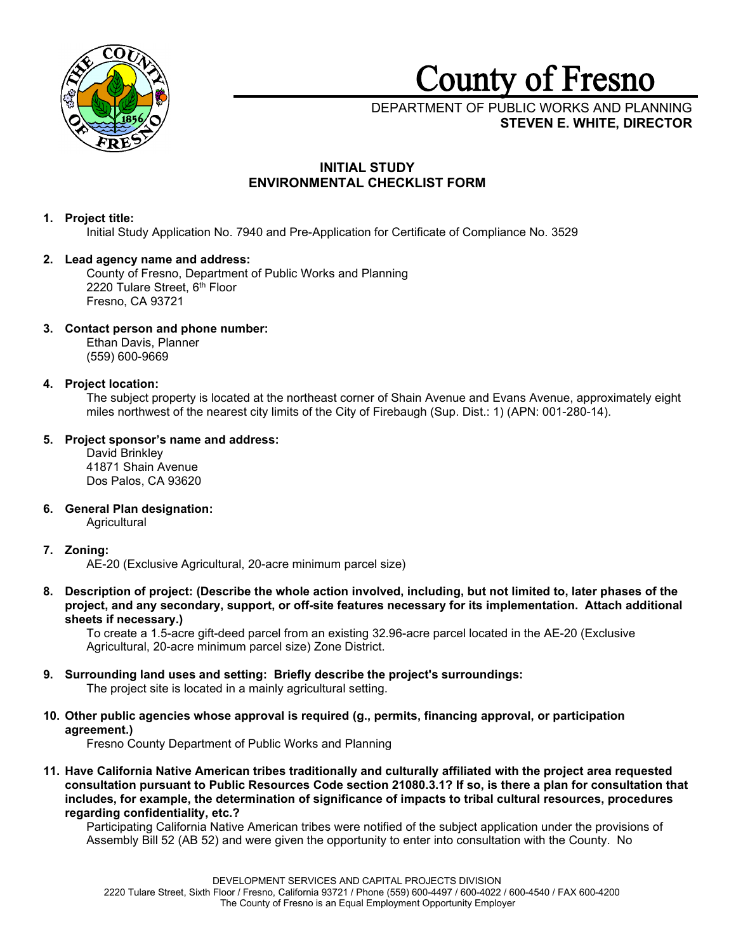

# **County** of **Fresno**

# DEPARTMENT OF PUBLIC WORKS AND PLANNING **STEVEN E. WHITE, DIRECTOR**

# **INITIAL STUDY ENVIRONMENTAL CHECKLIST FORM**

# **1. Project title:**

Initial Study Application No. 7940 and Pre-Application for Certificate of Compliance No. 3529

# **2. Lead agency name and address:**

County of Fresno, Department of Public Works and Planning 2220 Tulare Street, 6th Floor Fresno, CA 93721

# **3. Contact person and phone number:**

Ethan Davis, Planner (559) 600-9669

# **4. Project location:**

The subject property is located at the northeast corner of Shain Avenue and Evans Avenue, approximately eight miles northwest of the nearest city limits of the City of Firebaugh (Sup. Dist.: 1) (APN: 001-280-14).

# **5. Project sponsor's name and address:**

David Brinkley 41871 Shain Avenue Dos Palos, CA 93620

**6. General Plan designation: Agricultural** 

# **7. Zoning:**

AE-20 (Exclusive Agricultural, 20-acre minimum parcel size)

**8. Description of project: (Describe the whole action involved, including, but not limited to, later phases of the project, and any secondary, support, or off-site features necessary for its implementation. Attach additional sheets if necessary.)**

To create a 1.5-acre gift-deed parcel from an existing 32.96-acre parcel located in the AE-20 (Exclusive Agricultural, 20-acre minimum parcel size) Zone District.

**9. Surrounding land uses and setting: Briefly describe the project's surroundings:**

The project site is located in a mainly agricultural setting.

**10. Other public agencies whose approval is required (g., permits, financing approval, or participation agreement.)**

Fresno County Department of Public Works and Planning

**11. Have California Native American tribes traditionally and culturally affiliated with the project area requested consultation pursuant to Public Resources Code section 21080.3.1? If so, is there a plan for consultation that includes, for example, the determination of significance of impacts to tribal cultural resources, procedures regarding confidentiality, etc.?**

Participating California Native American tribes were notified of the subject application under the provisions of Assembly Bill 52 (AB 52) and were given the opportunity to enter into consultation with the County. No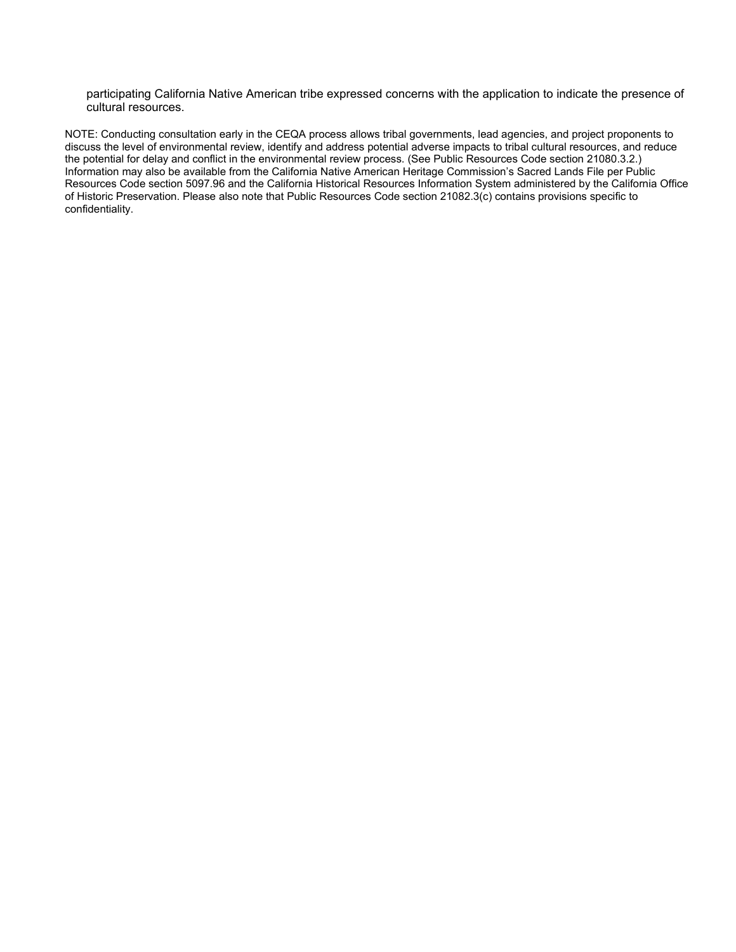participating California Native American tribe expressed concerns with the application to indicate the presence of cultural resources.

NOTE: Conducting consultation early in the CEQA process allows tribal governments, lead agencies, and project proponents to discuss the level of environmental review, identify and address potential adverse impacts to tribal cultural resources, and reduce the potential for delay and conflict in the environmental review process. (See Public Resources Code section 21080.3.2.) Information may also be available from the California Native American Heritage Commission's Sacred Lands File per Public Resources Code section 5097.96 and the California Historical Resources Information System administered by the California Office of Historic Preservation. Please also note that Public Resources Code section 21082.3(c) contains provisions specific to confidentiality.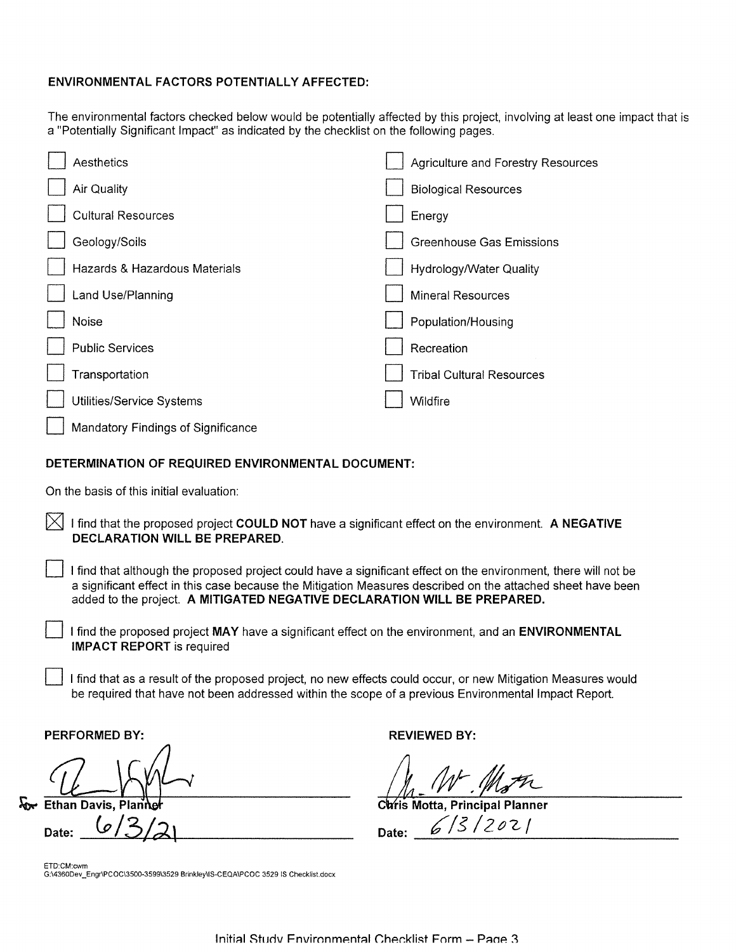## **ENVIRONMENTAL FACTORS POTENTIALLY AFFECTED:**

The environmental factors checked below would be potentially affected by this project, involving at least one impact that is a "Potentially Significant Impact" as indicated by the checklist on the following pages.

| Aesthetics                         | Agriculture and Forestry Resources |
|------------------------------------|------------------------------------|
| Air Quality                        | <b>Biological Resources</b>        |
| <b>Cultural Resources</b>          | Energy                             |
| Geology/Soils                      | <b>Greenhouse Gas Emissions</b>    |
| Hazards & Hazardous Materials      | Hydrology/Water Quality            |
| Land Use/Planning                  | <b>Mineral Resources</b>           |
| Noise                              | Population/Housing                 |
| <b>Public Services</b>             | Recreation                         |
| Transportation                     | <b>Tribal Cultural Resources</b>   |
| Utilities/Service Systems          | Wildfire                           |
| Mandatory Findings of Significance |                                    |
|                                    |                                    |

## **DETERMINATION OF REQUIRED ENVIRONMENTAL DOCUMENT:**

On the basis of this initial evaluation:

- [ZJ I find that the proposed project **COULD NOT** have a significant effect on the environment. **A NEGATIVE DECLARATION WILL BE PREPARED.** 
	- D I find that although the proposed project could have a significant effect on the environment, there will not be a significant effect in this case because the Mitigation Measures described on the attached sheet have been added to the project. **A MITIGATED NEGATIVE DECLARATION WILL BE PREPARED.** 
		- D I find the proposed project **MAY** have a significant effect on the environment, and an **ENVIRONMENTAL IMPACT REPORT** is required
		- D I find that as a result of the proposed project, no new effects could occur, or new Mitigation Measures would be required that have not been addressed within the scope of a previous Environmental Impact Report.

**PERFORMED BY: REVIEWED BY: REVIEWED BY:** 

PERFORMED BY:<br>
Ethan Davis, Planner<br>
Date: (*c*/3/2)

**Date:** *(p* / **3/t2\ Date:** *\_6.\_/\_*5*\_/\_2\_~\_'2-\_/* \_\_\_\_\_ \_

ETD:CM:cwm G:\4360Dev\_Engr\PCOC\3500-3599\3529 Brinkley\lS-CEQA\PCOC 3529 IS Checklist.docx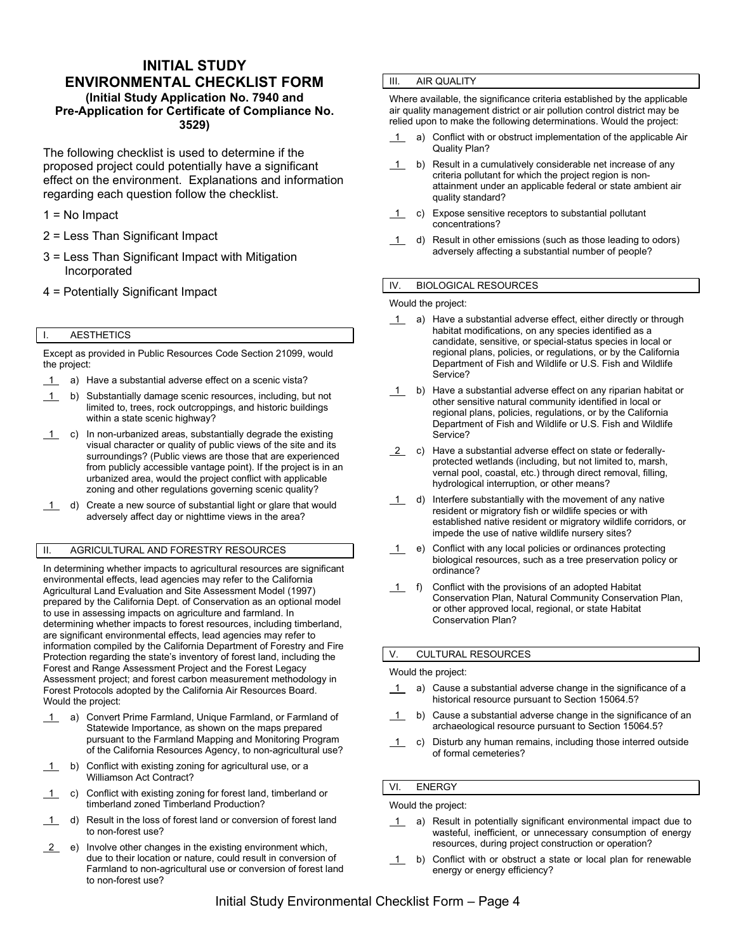# **INITIAL STUDY ENVIRONMENTAL CHECKLIST FORM (Initial Study Application No. 7940 and Pre-Application for Certificate of Compliance No. 3529)**

The following checklist is used to determine if the proposed project could potentially have a significant effect on the environment. Explanations and information regarding each question follow the checklist.

- 1 = No Impact
- 2 = Less Than Significant Impact
- 3 = Less Than Significant Impact with Mitigation Incorporated
- 4 = Potentially Significant Impact

## I. AESTHETICS

Except as provided in Public Resources Code Section 21099, would the project:

- 1 a) Have a substantial adverse effect on a scenic vista?
- 1 b) Substantially damage scenic resources, including, but not limited to, trees, rock outcroppings, and historic buildings within a state scenic highway?
- $\overline{1}$  c) In non-urbanized areas, substantially degrade the existing visual character or quality of public views of the site and its surroundings? (Public views are those that are experienced from publicly accessible vantage point). If the project is in an urbanized area, would the project conflict with applicable zoning and other regulations governing scenic quality?
- 1 d) Create a new source of substantial light or glare that would adversely affect day or nighttime views in the area?

## II. AGRICULTURAL AND FORESTRY RESOURCES

In determining whether impacts to agricultural resources are significant environmental effects, lead agencies may refer to the California Agricultural Land Evaluation and Site Assessment Model (1997) prepared by the California Dept. of Conservation as an optional model to use in assessing impacts on agriculture and farmland. In determining whether impacts to forest resources, including timberland, are significant environmental effects, lead agencies may refer to information compiled by the California Department of Forestry and Fire Protection regarding the state's inventory of forest land, including the Forest and Range Assessment Project and the Forest Legacy Assessment project; and forest carbon measurement methodology in Forest Protocols adopted by the California Air Resources Board. Would the project:

- 1 a) Convert Prime Farmland, Unique Farmland, or Farmland of Statewide Importance, as shown on the maps prepared pursuant to the Farmland Mapping and Monitoring Program of the California Resources Agency, to non-agricultural use?
- 1 b) Conflict with existing zoning for agricultural use, or a Williamson Act Contract?
- 1 c) Conflict with existing zoning for forest land, timberland or timberland zoned Timberland Production?
- 1 d) Result in the loss of forest land or conversion of forest land to non-forest use?
- $\overline{2}$  e) Involve other changes in the existing environment which, due to their location or nature, could result in conversion of Farmland to non-agricultural use or conversion of forest land to non-forest use?

#### III. AIR QUALITY

Where available, the significance criteria established by the applicable air quality management district or air pollution control district may be relied upon to make the following determinations. Would the project:

- $\overline{1}$  a) Conflict with or obstruct implementation of the applicable Air Quality Plan?
- 1 b) Result in a cumulatively considerable net increase of any criteria pollutant for which the project region is nonattainment under an applicable federal or state ambient air quality standard?
- 1 c) Expose sensitive receptors to substantial pollutant concentrations?
- 1 d) Result in other emissions (such as those leading to odors) adversely affecting a substantial number of people?

### IV. BIOLOGICAL RESOURCES

Would the project:

- 1 a) Have a substantial adverse effect, either directly or through habitat modifications, on any species identified as a candidate, sensitive, or special-status species in local or regional plans, policies, or regulations, or by the California Department of Fish and Wildlife or U.S. Fish and Wildlife Service?
- 1 b) Have a substantial adverse effect on any riparian habitat or other sensitive natural community identified in local or regional plans, policies, regulations, or by the California Department of Fish and Wildlife or U.S. Fish and Wildlife Service?
- 2 c) Have a substantial adverse effect on state or federallyprotected wetlands (including, but not limited to, marsh, vernal pool, coastal, etc.) through direct removal, filling, hydrological interruption, or other means?
- 1 d) Interfere substantially with the movement of any native resident or migratory fish or wildlife species or with established native resident or migratory wildlife corridors, or impede the use of native wildlife nursery sites?
- 1 e) Conflict with any local policies or ordinances protecting biological resources, such as a tree preservation policy or ordinance?
- 1 f) Conflict with the provisions of an adopted Habitat Conservation Plan, Natural Community Conservation Plan, or other approved local, regional, or state Habitat Conservation Plan?

#### V. CULTURAL RESOURCES

#### Would the project:

- 1 a) Cause a substantial adverse change in the significance of a historical resource pursuant to Section 15064.5?
- 1 b) Cause a substantial adverse change in the significance of an archaeological resource pursuant to Section 15064.5?
- 1 c) Disturb any human remains, including those interred outside of formal cemeteries?

## VI. ENERGY

Would the project:

- 1 a) Result in potentially significant environmental impact due to wasteful, inefficient, or unnecessary consumption of energy resources, during project construction or operation?
- 1 b) Conflict with or obstruct a state or local plan for renewable energy or energy efficiency?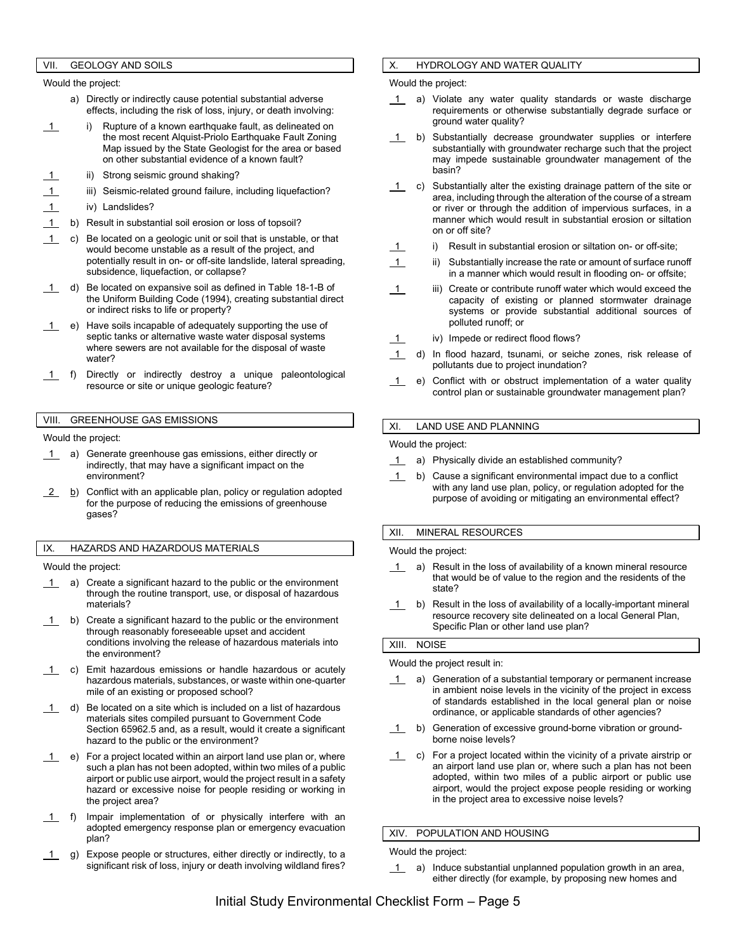## VII. GEOLOGY AND SOILS

Would the project:

- a) Directly or indirectly cause potential substantial adverse effects, including the risk of loss, injury, or death involving:
- 1 i) Rupture of a known earthquake fault, as delineated on the most recent Alquist-Priolo Earthquake Fault Zoning Map issued by the State Geologist for the area or based on other substantial evidence of a known fault?
	- ii) Strong seismic ground shaking?
- iii) Seismic-related ground failure, including liquefaction?
- 1 iv) Landslides?
- 1 b) Result in substantial soil erosion or loss of topsoil?
- 1 c) Be located on a geologic unit or soil that is unstable, or that would become unstable as a result of the project, and potentially result in on- or off-site landslide, lateral spreading, subsidence, liquefaction, or collapse?
- 1 d) Be located on expansive soil as defined in Table 18-1-B of the Uniform Building Code (1994), creating substantial direct or indirect risks to life or property?
- 1 e) Have soils incapable of adequately supporting the use of septic tanks or alternative waste water disposal systems where sewers are not available for the disposal of waste water?
- 1 f) Directly or indirectly destroy a unique paleontological resource or site or unique geologic feature?

## VIII. GREENHOUSE GAS EMISSIONS

Would the project:

- 1 a) Generate greenhouse gas emissions, either directly or indirectly, that may have a significant impact on the environment?
- $\frac{2}{2}$  b) Conflict with an applicable plan, policy or regulation adopted for the purpose of reducing the emissions of greenhouse gases?

#### IX. HAZARDS AND HAZARDOUS MATERIALS

Would the project:

- 1 a) Create a significant hazard to the public or the environment through the routine transport, use, or disposal of hazardous materials?
- 1 b) Create a significant hazard to the public or the environment through reasonably foreseeable upset and accident conditions involving the release of hazardous materials into the environment?
- c) Emit hazardous emissions or handle hazardous or acutely hazardous materials, substances, or waste within one-quarter mile of an existing or proposed school?
- $1$  d) Be located on a site which is included on a list of hazardous materials sites compiled pursuant to Government Code Section 65962.5 and, as a result, would it create a significant hazard to the public or the environment?
- 1 e) For a project located within an airport land use plan or, where such a plan has not been adopted, within two miles of a public airport or public use airport, would the project result in a safety hazard or excessive noise for people residing or working in the project area?
- 1 f) Impair implementation of or physically interfere with an adopted emergency response plan or emergency evacuation plan?
- 1 g) Expose people or structures, either directly or indirectly, to a significant risk of loss, injury or death involving wildland fires?

## X. HYDROLOGY AND WATER QUALITY

Would the project:

- a) Violate any water quality standards or waste discharge requirements or otherwise substantially degrade surface or ground water quality?
- 1 b) Substantially decrease groundwater supplies or interfere substantially with groundwater recharge such that the project may impede sustainable groundwater management of the basin?
- $\overline{1}$  c) Substantially alter the existing drainage pattern of the site or area, including through the alteration of the course of a stream or river or through the addition of impervious surfaces, in a manner which would result in substantial erosion or siltation on or off site?
	- i) Result in substantial erosion or siltation on- or off-site;
- 1 ii) Substantially increase the rate or amount of surface runoff in a manner which would result in flooding on- or offsite;
- 1 iii) Create or contribute runoff water which would exceed the capacity of existing or planned stormwater drainage systems or provide substantial additional sources of polluted runoff; or
- 1 iv) Impede or redirect flood flows?
- 1 d) In flood hazard, tsunami, or seiche zones, risk release of pollutants due to project inundation?
- 1 e) Conflict with or obstruct implementation of a water quality control plan or sustainable groundwater management plan?

#### XI. LAND USE AND PLANNING

Would the project:

- 1 a) Physically divide an established community?
- 1 b) Cause a significant environmental impact due to a conflict with any land use plan, policy, or regulation adopted for the purpose of avoiding or mitigating an environmental effect?

#### XII. MINERAL RESOURCES

Would the project:

- $\overline{1}$  a) Result in the loss of availability of a known mineral resource that would be of value to the region and the residents of the state?
- $1$  b) Result in the loss of availability of a locally-important mineral resource recovery site delineated on a local General Plan, Specific Plan or other land use plan?

#### XIII. NOISE

Would the project result in:

- 1 a) Generation of a substantial temporary or permanent increase in ambient noise levels in the vicinity of the project in excess of standards established in the local general plan or noise ordinance, or applicable standards of other agencies?
- 1 b) Generation of excessive ground-borne vibration or groundborne noise levels?
- $1$  c) For a project located within the vicinity of a private airstrip or an airport land use plan or, where such a plan has not been adopted, within two miles of a public airport or public use airport, would the project expose people residing or working in the project area to excessive noise levels?

XIV. POPULATION AND HOUSING

Would the project:

1 a) Induce substantial unplanned population growth in an area, either directly (for example, by proposing new homes and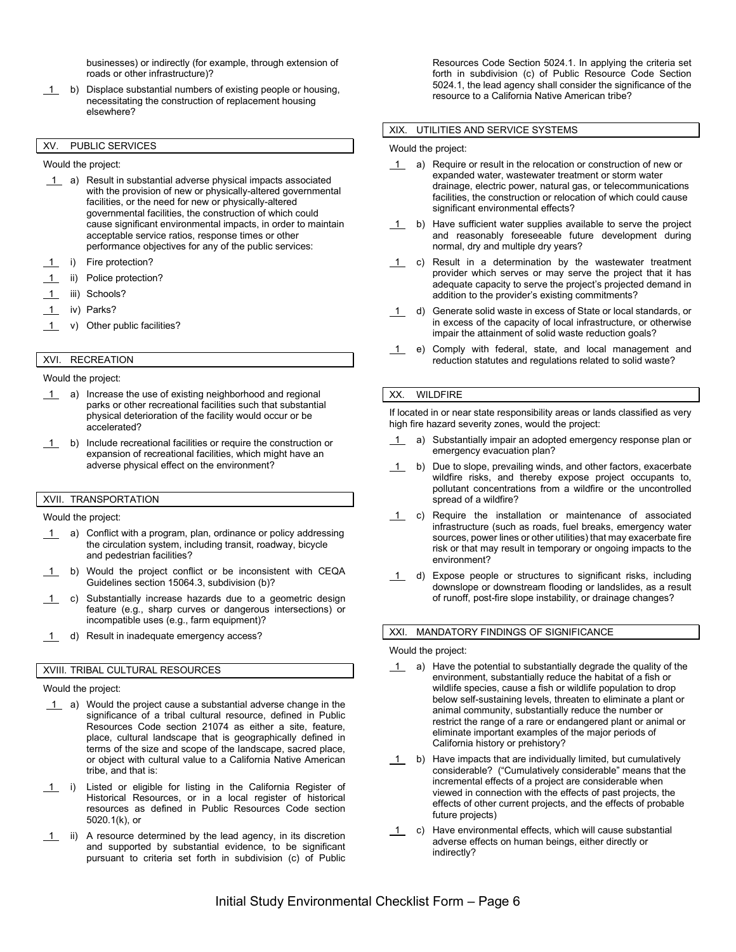businesses) or indirectly (for example, through extension of roads or other infrastructure)?

1 b) Displace substantial numbers of existing people or housing, necessitating the construction of replacement housing elsewhere?

## XV. PUBLIC SERVICES

Would the project:

- 1 a) Result in substantial adverse physical impacts associated with the provision of new or physically-altered governmental facilities, or the need for new or physically-altered governmental facilities, the construction of which could cause significant environmental impacts, in order to maintain acceptable service ratios, response times or other performance objectives for any of the public services:
- i) Fire protection?
- ii) Police protection?
- 1 iii) Schools?
- 1 iv) Parks?
- 1 v) Other public facilities?

# XVI. RECREATION

Would the project:

- 1 a) Increase the use of existing neighborhood and regional parks or other recreational facilities such that substantial physical deterioration of the facility would occur or be accelerated?
- 1 b) Include recreational facilities or require the construction or expansion of recreational facilities, which might have an adverse physical effect on the environment?

## XVII. TRANSPORTATION

Would the project:

- 1 a) Conflict with a program, plan, ordinance or policy addressing the circulation system, including transit, roadway, bicycle and pedestrian facilities?
- 1 b) Would the project conflict or be inconsistent with CEQA Guidelines section 15064.3, subdivision (b)?
- 1 c) Substantially increase hazards due to a geometric design feature (e.g., sharp curves or dangerous intersections) or incompatible uses (e.g., farm equipment)?
- 1 d) Result in inadequate emergency access?

#### XVIII. TRIBAL CULTURAL RESOURCES

Would the project:

- 1 a) Would the project cause a substantial adverse change in the significance of a tribal cultural resource, defined in Public Resources Code section 21074 as either a site, feature, place, cultural landscape that is geographically defined in terms of the size and scope of the landscape, sacred place, or object with cultural value to a California Native American tribe, and that is:
- 1 i) Listed or eligible for listing in the California Register of Historical Resources, or in a local register of historical resources as defined in Public Resources Code section 5020.1(k), or
- 1 ii) A resource determined by the lead agency, in its discretion and supported by substantial evidence, to be significant pursuant to criteria set forth in subdivision (c) of Public

Resources Code Section 5024.1. In applying the criteria set forth in subdivision (c) of Public Resource Code Section 5024.1, the lead agency shall consider the significance of the resource to a California Native American tribe?

#### XIX. UTILITIES AND SERVICE SYSTEMS

Would the project:

- 1 a) Require or result in the relocation or construction of new or expanded water, wastewater treatment or storm water drainage, electric power, natural gas, or telecommunications facilities, the construction or relocation of which could cause significant environmental effects?
- $\overline{1}$  b) Have sufficient water supplies available to serve the project and reasonably foreseeable future development during normal, dry and multiple dry years?
- 1 c) Result in a determination by the wastewater treatment provider which serves or may serve the project that it has adequate capacity to serve the project's projected demand in addition to the provider's existing commitments?
- 1 d) Generate solid waste in excess of State or local standards, or in excess of the capacity of local infrastructure, or otherwise impair the attainment of solid waste reduction goals?
- 1 e) Comply with federal, state, and local management and reduction statutes and regulations related to solid waste?

#### XX. WILDFIRE

If located in or near state responsibility areas or lands classified as very high fire hazard severity zones, would the project:

- a) Substantially impair an adopted emergency response plan or emergency evacuation plan?
- 1 b) Due to slope, prevailing winds, and other factors, exacerbate wildfire risks, and thereby expose project occupants to, pollutant concentrations from a wildfire or the uncontrolled spread of a wildfire?
- 1 c) Require the installation or maintenance of associated infrastructure (such as roads, fuel breaks, emergency water sources, power lines or other utilities) that may exacerbate fire risk or that may result in temporary or ongoing impacts to the environment?
- 1 d) Expose people or structures to significant risks, including downslope or downstream flooding or landslides, as a result of runoff, post-fire slope instability, or drainage changes?

## XXI. MANDATORY FINDINGS OF SIGNIFICANCE

Would the project:

- 1 a) Have the potential to substantially degrade the quality of the environment, substantially reduce the habitat of a fish or wildlife species, cause a fish or wildlife population to drop below self-sustaining levels, threaten to eliminate a plant or animal community, substantially reduce the number or restrict the range of a rare or endangered plant or animal or eliminate important examples of the major periods of California history or prehistory?
- 1 b) Have impacts that are individually limited, but cumulatively considerable? ("Cumulatively considerable" means that the incremental effects of a project are considerable when viewed in connection with the effects of past projects, the effects of other current projects, and the effects of probable future projects)
- 1 c) Have environmental effects, which will cause substantial adverse effects on human beings, either directly or indirectly?